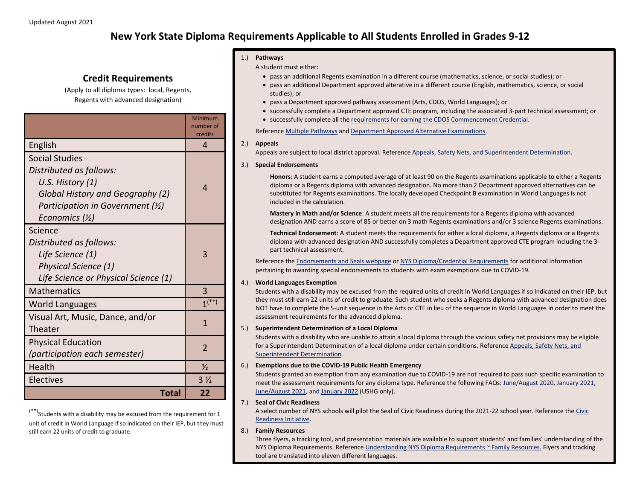# **New York State Diploma Requirements Applicable to All Students Enrolled in Grades 9-12**

## **Credit Requirements**

(Apply to all diploma types: local, Regents, Regents with advanced designation)

|                                                                                                                                                                              | Minimum<br>number of<br>credits |
|------------------------------------------------------------------------------------------------------------------------------------------------------------------------------|---------------------------------|
| English                                                                                                                                                                      | 4                               |
| <b>Social Studies</b><br>Distributed as follows:<br>U.S. History (1)<br>Global History and Geography (2)<br>Participation in Government $(Y_2)$<br>Economics $(\frac{1}{2})$ | 4                               |
| Science<br>Distributed as follows:<br>Life Science (1)<br>Physical Science (1)<br>Life Science or Physical Science (1)                                                       | 3                               |
| <b>Mathematics</b>                                                                                                                                                           | 3                               |
| <b>World Languages</b>                                                                                                                                                       | $1^{(*)}$                       |
| Visual Art, Music, Dance, and/or<br>Theater                                                                                                                                  | 1                               |
| <b>Physical Education</b><br>(participation each semester)                                                                                                                   | $\overline{\phantom{a}}$        |
| Health                                                                                                                                                                       | $\frac{1}{2}$                   |
| Electives                                                                                                                                                                    | $3\frac{1}{2}$                  |
| Total                                                                                                                                                                        | 22                              |

 $(***)$ Students with a disability may be excused from the requirement for 1 unit of credit in World Language if so indicated on their IEP, but they must still earn 22 units of credit to graduate.

#### 1.) **Pathways**

A student must either:

- pass an additional Regents examination in a different course (mathematics, science, or social studies); or
- pass an additional Department approved alterative in a different course (English, mathematics, science, or social studies); or
- pass a Department approved pathway assessment (Arts, CDOS, World Languages); or
- successfully complete a Department approved CTE program, including the associated 3-part technical assessment; or
- successfully complete all th[e requirements for earning the CDOS Commencement Credential.](http://www.nysed.gov/curriculum-instruction/cdos-pathway-regents-or-local-diploma)

Referenc[e Multiple Pathways](http://www.nysed.gov/curriculum-instruction/multiple-pathways) and [Department Approved Alternative Examinations.](http://www.p12.nysed.gov/assessment/hsgen/archive/list.pdf) 

#### 2.) **Appeals**

Appeals are subject to local district approval. Reference [Appeals, Safety Nets, and Superintendent Determination.](http://www.nysed.gov/curriculum-instruction/appeals-safety-nets-and-superintendent-determination) 

#### 3.) **Special Endorsements**

**Honors**: A student earns a computed average of at least 90 on the Regents examinations applicable to either a Regents diploma or a Regents diploma with advanced designation. No more than 2 Department approved alternatives can be substituted for Regents examinations. The locally developed Checkpoint B examination in World Languages is not included in the calculation.

**Mastery in Math and/or Science**: A student meets all the requirements for a Regents diploma with advanced designation AND earns a score of 85 or better on 3 math Regents examinations and/or 3 science Regents examinations.

**Technical Endorsement**: A student meets the requirements for either a local diploma, a Regents diploma or a Regents diploma with advanced designation AND successfully completes a Department approved CTE program including the 3 part technical assessment.

Reference the [Endorsements and Seals webpage](http://www.nysed.gov/curriculum-instruction/endorsements-and-seals) o[r NYS Diploma/Credential Requirements](http://www.nysed.gov/common/nysed/files/programs/curriculum-instruction/diploma-and-credentials-summary-requirements.pdf) for additional information pertaining to awarding special endorsements to students with exam exemptions due to COVID-19.

#### 4.) **World Languages Exemption**

Students with a disability may be excused from the required units of credit in World Languages if so indicated on their IEP, but they must still earn 22 units of credit to graduate. Such student who seeks a Regents diploma with advanced designation does NOT have to complete the 5-unit sequence in the Arts or CTE in lieu of the sequence in World Languages in order to meet the assessment requirements for the advanced diploma.

#### 5.) **Superintendent Determination of a Local Diploma**

Students with a disability who are unable to attain a local diploma through the various safety net provisions may be eligible for a Superintendent Determination of a local diploma under certain conditions. Reference [Appeals, Safety Nets, and](http://www.nysed.gov/curriculum-instruction/appeals-safety-nets-and-superintendent-determination)  [Superintendent Determination.](http://www.nysed.gov/curriculum-instruction/appeals-safety-nets-and-superintendent-determination) 

#### 6.) **Exemptions due to the COVID-19 Public Health Emergency**

Students granted an exemption from any examination due to COVID-19 are not required to pass such specific examination to meet the assessment requirements for any diploma type. Reference the following FAQs: [June/August 2020,](http://www.nysed.gov/common/nysed/files/programs/coronavirus/nysed-covid-19-regents-grad-req-faq.pdf) [January 2021,](http://www.nysed.gov/common/nysed/files/programs/coronavirus/faq-january-2021-regents-examinations.pdf) [June/August 2021,](http://www.p12.nysed.gov/assessment/hsgen/2021/faq-june-august-2021-assessments.pdf) and [January 2022](http://www.nysed.gov/common/nysed/files/programs/coronavirus/memo-ushg-regents-exemption-january-2022.pdf) (USHG only).

#### 7.) **Seal of Civic Readiness**

A select number of NYS schools will pilot the Seal of Civic Readiness during the 2021-22 school year. Reference the [Civic](http://www.nysed.gov/curriculum-instruction/civic-readiness-initiative)  [Readiness Initiative.](http://www.nysed.gov/curriculum-instruction/civic-readiness-initiative)

#### 8.) **Family Resources**

Three flyers, a tracking tool, and presentation materials are available to support students' and families' understanding of the NYS Diploma Requirements. Referenc[e Understanding NYS Diploma Requirements ~ Family Resources.](http://www.nysed.gov/curriculum-instruction/understanding-nys-diploma-requirements-family-resources) Flyers and tracking tool are translated into eleven different languages.